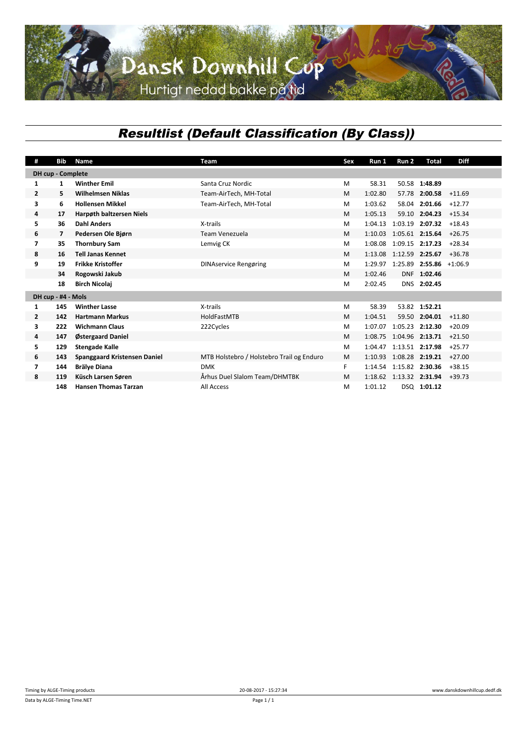## *Resultlist (Default Classification (By Class))*

| #                        | Bib | Name                                | Team                                      | Sex | Run 1   | Run 2           | Total                   | <b>Diff</b> |  |  |  |
|--------------------------|-----|-------------------------------------|-------------------------------------------|-----|---------|-----------------|-------------------------|-------------|--|--|--|
| <b>DH</b> cup - Complete |     |                                     |                                           |     |         |                 |                         |             |  |  |  |
| 1                        | 1   | <b>Winther Emil</b>                 | Santa Cruz Nordic                         | M   | 58.31   |                 | 50.58 1:48.89           |             |  |  |  |
| $\overline{2}$           | 5.  | <b>Wilhelmsen Niklas</b>            | Team-AirTech, MH-Total                    | M   | 1:02.80 |                 | 57.78 2:00.58           | $+11.69$    |  |  |  |
| 3                        | 6   | <b>Hollensen Mikkel</b>             | Team-AirTech, MH-Total                    | M   | 1:03.62 | 58.04           | 2:01.66                 | $+12.77$    |  |  |  |
| 4                        | 17  | <b>Harpøth baltzersen Niels</b>     |                                           | M   | 1:05.13 |                 | 59.10 2:04.23           | $+15.34$    |  |  |  |
| 5                        | 36  | <b>Dahl Anders</b>                  | X-trails                                  | M   | 1:04.13 | 1:03.19         | 2:07.32                 | $+18.43$    |  |  |  |
| 6                        | 7   | Pedersen Ole Bjørn                  | Team Venezuela                            | M   | 1:10.03 | 1:05.61 2:15.64 |                         | $+26.75$    |  |  |  |
| $\overline{\mathbf{z}}$  | 35  | <b>Thornbury Sam</b>                | Lemvig CK                                 | M   | 1:08.08 | 1:09.15 2:17.23 |                         | $+28.34$    |  |  |  |
| 8                        | 16  | <b>Tell Janas Kennet</b>            |                                           | M   | 1:13.08 | 1:12.59 2:25.67 |                         | $+36.78$    |  |  |  |
| 9                        | 19  | <b>Frikke Kristoffer</b>            | <b>DINAservice Rengøring</b>              | M   | 1:29.97 |                 | 1:25.89 2:55.86 +1:06.9 |             |  |  |  |
|                          | 34  | Rogowski Jakub                      |                                           | M   | 1:02.46 |                 | DNF 1:02.46             |             |  |  |  |
|                          | 18  | <b>Birch Nicolaj</b>                |                                           | M   | 2:02.45 |                 | DNS 2:02.45             |             |  |  |  |
| DH cup - #4 - Mols       |     |                                     |                                           |     |         |                 |                         |             |  |  |  |
| 1                        | 145 | <b>Winther Lasse</b>                | X-trails                                  | M   | 58.39   |                 | 53.82 1:52.21           |             |  |  |  |
| $\overline{2}$           | 142 | <b>Hartmann Markus</b>              | <b>HoldFastMTB</b>                        | M   | 1:04.51 |                 | 59.50 2:04.01           | $+11.80$    |  |  |  |
| 3                        | 222 | <b>Wichmann Claus</b>               | 222Cycles                                 | M   | 1:07.07 |                 | 1:05.23 2:12.30         | $+20.09$    |  |  |  |
| 4                        | 147 | Østergaard Daniel                   |                                           | M   | 1:08.75 | 1:04.96 2:13.71 |                         | $+21.50$    |  |  |  |
| 5                        | 129 | <b>Stengade Kalle</b>               |                                           | M   | 1:04.47 |                 | 1:13.51 2:17.98         | $+25.77$    |  |  |  |
| 6                        | 143 | <b>Spanggaard Kristensen Daniel</b> | MTB Holstebro / Holstebro Trail og Enduro | M   | 1:10.93 | 1:08.28 2:19.21 |                         | $+27.00$    |  |  |  |
| 7                        | 144 | <b>Brälye Diana</b>                 | <b>DMK</b>                                | F.  | 1:14.54 | 1:15.82 2:30.36 |                         | $+38.15$    |  |  |  |
| 8                        | 119 | Küsch Larsen Søren                  | Århus Duel Slalom Team/DHMTBK             | M   | 1:18.62 | 1:13.32 2:31.94 |                         | $+39.73$    |  |  |  |
|                          | 148 | <b>Hansen Thomas Tarzan</b>         | All Access                                | M   | 1:01.12 |                 | DSQ 1:01.12             |             |  |  |  |